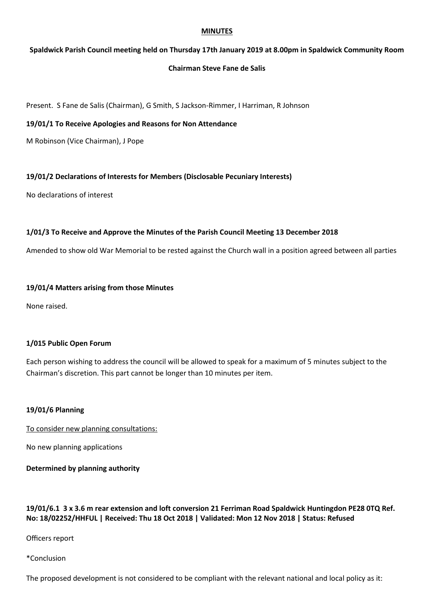#### **MINUTES**

## **Spaldwick Parish Council meeting held on Thursday 17th January 2019 at 8.00pm in Spaldwick Community Room**

## **Chairman Steve Fane de Salis**

Present. S Fane de Salis (Chairman), G Smith, S Jackson-Rimmer, I Harriman, R Johnson

#### **19/01/1 To Receive Apologies and Reasons for Non Attendance**

M Robinson (Vice Chairman), J Pope

### **19/01/2 Declarations of Interests for Members (Disclosable Pecuniary Interests)**

No declarations of interest

### **1/01/3 To Receive and Approve the Minutes of the Parish Council Meeting 13 December 2018**

Amended to show old War Memorial to be rested against the Church wall in a position agreed between all parties

### **19/01/4 Matters arising from those Minutes**

None raised.

### **1/015 Public Open Forum**

Each person wishing to address the council will be allowed to speak for a maximum of 5 minutes subject to the Chairman's discretion. This part cannot be longer than 10 minutes per item.

### **19/01/6 Planning**

To consider new planning consultations:

No new planning applications

### **Determined by planning authority**

# **19/01/6.1 3 x 3.6 m rear extension and loft conversion 21 Ferriman Road Spaldwick Huntingdon PE28 0TQ Ref. No: 18/02252/HHFUL | Received: Thu 18 Oct 2018 | Validated: Mon 12 Nov 2018 | Status: Refused**

Officers report

#### \*Conclusion

The proposed development is not considered to be compliant with the relevant national and local policy as it: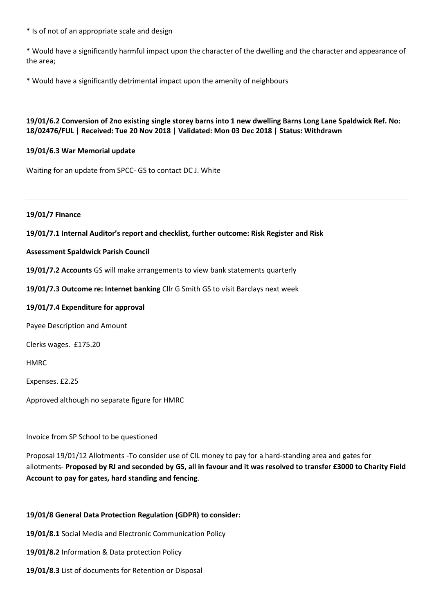\* Is of not of an appropriate scale and design

\* Would have a significantly harmful impact upon the character of the dwelling and the character and appearance of the area;

\* Would have a significantly detrimental impact upon the amenity of neighbours

# **19/01/6.2 Conversion of 2no existing single storey barns into 1 new dwelling Barns Long Lane Spaldwick Ref. No: 18/02476/FUL | Received: Tue 20 Nov 2018 | Validated: Mon 03 Dec 2018 | Status: Withdrawn**

## **19/01/6.3 War Memorial update**

Waiting for an update from SPCC- GS to contact DC J. White

#### **19/01/7 Finance**

### **19/01/7.1 Internal Auditor's report and checklist, further outcome: Risk Register and Risk**

#### **Assessment Spaldwick Parish Council**

**19/01/7.2 Accounts** GS will make arrangements to view bank statements quarterly

**19/01/7.3 Outcome re: Internet banking** Cllr G Smith GS to visit Barclays next week

#### **19/01/7.4 Expenditure for approval**

Payee Description and Amount

Clerks wages. £175.20

HMRC

Expenses. £2.25

Approved although no separate figure for HMRC

Invoice from SP School to be questioned

Proposal 19/01/12 Allotments -To consider use of CIL money to pay for a hard-standing area and gates for allotments- **Proposed by RJ and seconded by GS, all in favour and it was resolved to transfer £3000 to Charity Field Account to pay for gates, hard standing and fencing**.

### **19/01/8 General Data Protection Regulation (GDPR) to consider:**

**19/01/8.1** Social Media and Electronic Communication Policy

**19/01/8.2** Information & Data protection Policy

**19/01/8.3** List of documents for Retention or Disposal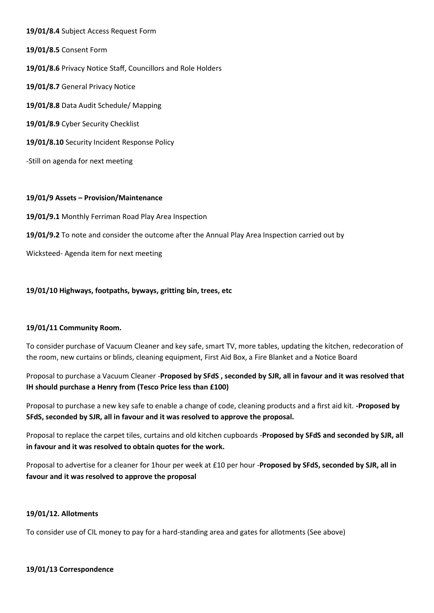**19/01/8.4** Subject Access Request Form **19/01/8.5** Consent Form **19/01/8.6** Privacy Notice Staff, Councillors and Role Holders **19/01/8.7** General Privacy Notice **19/01/8.8** Data Audit Schedule/ Mapping **19/01/8.9** Cyber Security Checklist **19/01/8.10** Security Incident Response Policy -Still on agenda for next meeting

### **19/01/9 Assets – Provision/Maintenance**

**19/01/9.1** Monthly Ferriman Road Play Area Inspection

**19/01/9.2** To note and consider the outcome after the Annual Play Area Inspection carried out by

Wicksteed- Agenda item for next meeting

#### **19/01/10 Highways, footpaths, byways, gritting bin, trees, etc**

#### **19/01/11 Community Room.**

To consider purchase of Vacuum Cleaner and key safe, smart TV, more tables, updating the kitchen, redecoration of the room, new curtains or blinds, cleaning equipment, First Aid Box, a Fire Blanket and a Notice Board

Proposal to purchase a Vacuum Cleaner -**Proposed by SFdS , seconded by SJR, all in favour and it was resolved that IH should purchase a Henry from (Tesco Price less than £100)**

Proposal to purchase a new key safe to enable a change of code, cleaning products and a first aid kit. **-Proposed by SFdS, seconded by SJR, all in favour and it was resolved to approve the proposal.**

Proposal to replace the carpet tiles, curtains and old kitchen cupboards -**Proposed by SFdS and seconded by SJR, all in favour and it was resolved to obtain quotes for the work.**

Proposal to advertise for a cleaner for 1hour per week at £10 per hour -**Proposed by SFdS, seconded by SJR, all in favour and it was resolved to approve the proposal**

#### **19/01/12. Allotments**

To consider use of CIL money to pay for a hard-standing area and gates for allotments (See above)